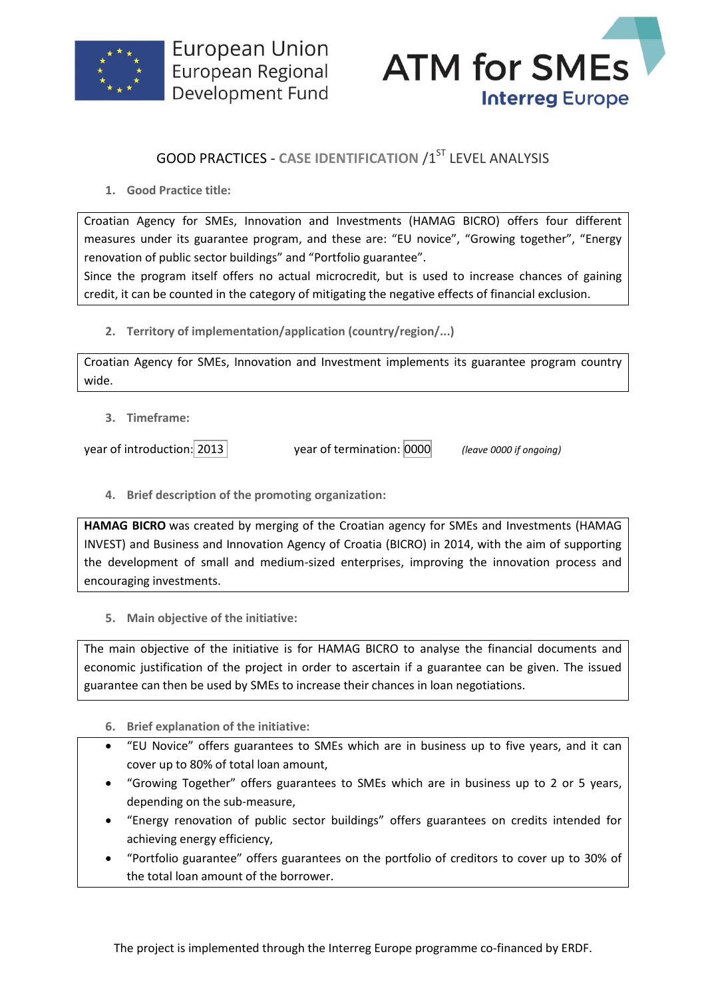



## **GOOD PRACTICES - CASE IDENTIFICATION /1ST LEVEL ANALYSIS**

**1. Good Practice title:**

Croatian Agency for SMEs, Innovation and Investments (HAMAG BICRO) offers four different measures under its guarantee program, and these are: "EU novice", "Growing together", "Energy renovation of public sector buildings" and "Portfolio guarantee".

Since the program itself offers no actual microcredit, but is used to increase chances of gaining credit, it can be counted in the category of mitigating the negative effects of financial exclusion.

**2. Territory of implementation/application (country/region/...)**

Croatian Agency for SMEs, Innovation and Investment implements its guarantee program country wide.

**3. Timeframe:**

year of introduction: 2013 year of termination: 0000 *(leave 0000 if ongoing)*

**4. Brief description of the promoting organization:**

**HAMAG BICRO** was created by merging of the Croatian agency for SMEs and Investments (HAMAG INVEST) and Business and Innovation Agency of Croatia (BICRO) in 2014, with the aim of supporting the development of small and medium-sized enterprises, improving the innovation process and encouraging investments.

**5. Main objective of the initiative:**

The main objective of the initiative is for HAMAG BICRO to analyse the financial documents and economic justification of the project in order to ascertain if a guarantee can be given. The issued guarantee can then be used by SMEs to increase their chances in loan negotiations.

- **6. Brief explanation of the initiative:**
- "EU Novice" offers guarantees to SMEs which are in business up to five years, and it can cover up to 80% of total loan amount,
- "Growing Together" offers guarantees to SMEs which are in business up to 2 or 5 years, depending on the sub-measure,
- "Energy renovation of public sector buildings" offers guarantees on credits intended for achieving energy efficiency,
- "Portfolio guarantee" offers guarantees on the portfolio of creditors to cover up to 30% of the total loan amount of the borrower.